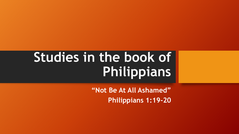# **Studies in the book of Philippians**

**"Not Be At All Ashamed" Philippians 1:19-20**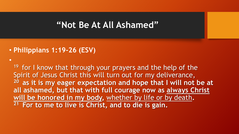#### • **Philippians 1:19-26 (ESV)**

•

 $19$  for I know that through your prayers and the help of the Spirit of Jesus Christ this will turn out for my deliverance, **<sup>20</sup>as it is my eager expectation and hope that I will not be at all ashamed, but that with full courage now as always Christ will be honored in my body,** whether by life or by death**. 21 For to me to live is Christ, and to die is gain.**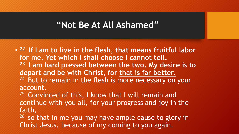• **<sup>22</sup>If I am to live in the flesh, that means fruitful labor for me. Yet which I shall choose I cannot tell. <sup>23</sup>I am hard pressed between the two. My desire is to depart and be with Christ, for that is far better.**  <sup>24</sup> But to remain in the flesh is more necessary on your account.

 $25$  Convinced of this, I know that I will remain and continue with you all, for your progress and joy in the faith,

 $26$  so that in me you may have ample cause to glory in Christ Jesus, because of my coming to you again.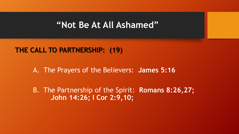#### **THE CALL TO PARTNERSHIP: (19)**

A. The Prayers of the Believers: **James 5:16** 

B. The Partnership of the Spirit: **Romans 8:26,27; John 14:26; I Cor 2:9,10;**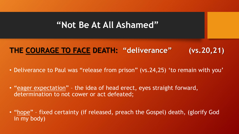# **THE COURAGE TO FACE DEATH: "deliverance" (vs.20,21)**

- Deliverance to Paul was "release from prison" (vs.24,25) 'to remain with you'
- "eager expectation" the idea of head erect, eyes straight forward, determination to not cower or act defeated;
- "hope" fixed certainty (if released, preach the Gospel) death, (glorify God in my body)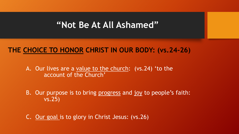### **THE CHOICE TO HONOR CHRIST IN OUR BODY: (vs.24-26)**

A. Our lives are a value to the church: (vs.24) 'to the account of the Church'

B. Our purpose is to bring progress and joy to people's faith: vs.25)

C. Our goal is to glory in Christ Jesus: (vs.26)